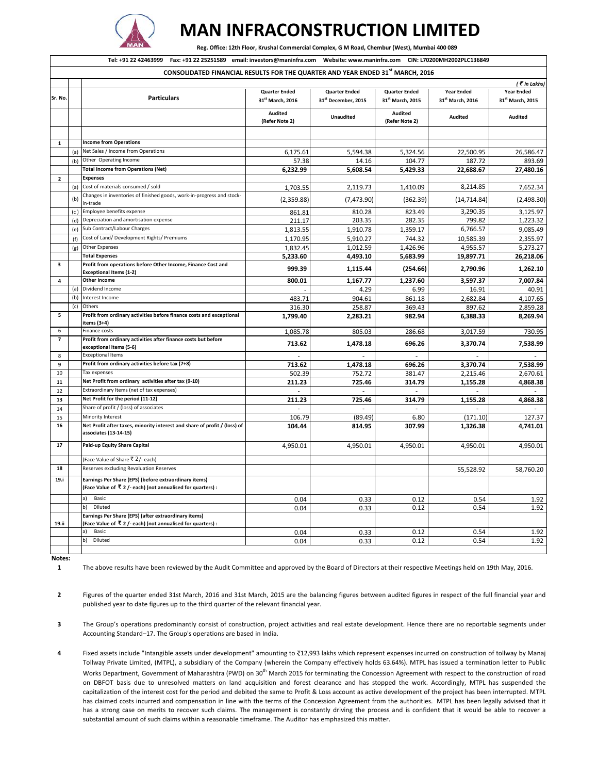

## **MAN INFRACONSTRUCTION LIMITED**

 **Reg. Office: 12th Floor, Krushal Commercial Complex, G M Road, Chembur (West), Mumbai 400 089**

|                         |                                                                                                                                       | <b>Quarter Ended</b>         | <b>Quarter Ended</b> | <b>Quarter Ended</b>         | <b>Year Ended</b>            | $($ $\bar{\mathbf{z}}$ in Lakhs)<br><b>Year Ended</b> |
|-------------------------|---------------------------------------------------------------------------------------------------------------------------------------|------------------------------|----------------------|------------------------------|------------------------------|-------------------------------------------------------|
| Sr. No.                 | <b>Particulars</b>                                                                                                                    | 31 <sup>st</sup> March, 2016 | 31st December, 2015  | 31 <sup>st</sup> March, 2015 | 31 <sup>st</sup> March, 2016 | 31st March, 2015                                      |
|                         |                                                                                                                                       | Audited<br>(Refer Note 2)    | <b>Unaudited</b>     | Audited<br>(Refer Note 2)    | <b>Audited</b>               | Audited                                               |
|                         |                                                                                                                                       |                              |                      |                              |                              |                                                       |
| $\mathbf{1}$            | <b>Income from Operations</b>                                                                                                         |                              |                      |                              |                              |                                                       |
| (a)                     | Net Sales / Income from Operations                                                                                                    | 6,175.61                     | 5,594.38             | 5,324.56                     | 22,500.95                    | 26,586.47                                             |
| (b)                     | Other Operating Income                                                                                                                | 57.38                        | 14.16                | 104.77                       | 187.72                       | 893.69                                                |
|                         | <b>Total Income from Operations (Net)</b>                                                                                             | 6,232.99                     | 5,608.54             | 5,429.33                     | 22,688.67                    | 27,480.16                                             |
| $\mathbf{2}$            | <b>Expenses</b>                                                                                                                       |                              |                      |                              |                              |                                                       |
| (a)                     | Cost of materials consumed / sold                                                                                                     | 1,703.55                     | 2,119.73             | 1,410.09                     | 8,214.85                     | 7,652.34                                              |
| (b)                     | Changes in inventories of finished goods, work-in-progress and stock-<br>in-trade                                                     | (2,359.88)                   | (7, 473.90)          | (362.39)                     | (14, 714.84)                 | (2,498.30)                                            |
| (c)                     | Employee benefits expense                                                                                                             | 861.81                       | 810.28               | 823.49                       | 3,290.35                     | 3,125.97                                              |
| (d)                     | Depreciation and amortisation expense                                                                                                 | 211.17                       | 203.35               | 282.35                       | 799.82                       | 1,223.32                                              |
| (e)                     | Sub Contract/Labour Charges                                                                                                           | 1,813.55                     | 1,910.78             | 1,359.17                     | 6,766.57                     | 9,085.49                                              |
| (f)                     | Cost of Land/ Development Rights/ Premiums                                                                                            | 1,170.95                     | 5,910.27             | 744.32                       | 10,585.39                    | 2,355.97                                              |
| (g)                     | Other Expenses                                                                                                                        | 1,832.45                     | 1,012.59             | 1,426.96                     | 4,955.57                     | 5,273.27                                              |
|                         | <b>Total Expenses</b>                                                                                                                 | 5,233.60                     | 4,493.10             | 5,683.99                     | 19,897.71                    | 26,218.06                                             |
| 3                       | Profit from operations before Other Income, Finance Cost and<br><b>Exceptional Items (1-2)</b>                                        | 999.39                       | 1,115.44             | (254.66)                     | 2,790.96                     | 1,262.10                                              |
| 4                       | <b>Other Income</b>                                                                                                                   | 800.01                       | 1,167.77             | 1,237.60                     | 3,597.37                     | 7,007.84                                              |
| (a)                     | Dividend Income                                                                                                                       |                              | 4.29                 | 6.99                         | 16.91                        | 40.91                                                 |
| (b)                     | Interest Income                                                                                                                       | 483.71                       | 904.61               | 861.18                       | 2,682.84                     | 4,107.65                                              |
| (c)                     | Others                                                                                                                                | 316.30                       | 258.87               | 369.43                       | 897.62                       | 2,859.28                                              |
| 5                       | Profit from ordinary activities before finance costs and exceptional<br>items (3+4)                                                   | 1,799.40                     | 2,283.21             | 982.94                       | 6,388.33                     | 8,269.94                                              |
| 6                       | Finance costs                                                                                                                         | 1,085.78                     | 805.03               | 286.68                       | 3,017.59                     | 730.95                                                |
| $\overline{\mathbf{z}}$ | Profit from ordinary activities after finance costs but before<br>exceptional items (5-6)                                             | 713.62                       | 1,478.18             | 696.26                       | 3,370.74                     | 7,538.99                                              |
| 8                       | <b>Exceptional Items</b>                                                                                                              |                              |                      |                              |                              |                                                       |
| 9                       | Profit from ordinary activities before tax (7+8)                                                                                      | 713.62                       | 1,478.18             | 696.26                       | 3,370.74                     | 7,538.99                                              |
| 10                      | Tax expenses                                                                                                                          | 502.39                       | 752.72               | 381.47                       | 2,215.46                     | 2,670.61                                              |
| 11                      | Net Profit from ordinary activities after tax (9-10)                                                                                  | 211.23                       | 725.46               | 314.79                       | 1,155.28                     | 4,868.38                                              |
| 12                      | Extraordinary Items (net of tax expenses)                                                                                             |                              |                      |                              |                              |                                                       |
| 13                      | Net Profit for the period (11-12)                                                                                                     | 211.23                       | 725.46               | 314.79                       | 1,155.28                     | 4,868.38                                              |
| 14                      | Share of profit / (loss) of associates<br>Minority Interest                                                                           |                              |                      |                              |                              |                                                       |
| 15<br>16                | Net Profit after taxes, minority interest and share of profit / (loss) of                                                             | 106.79<br>104.44             | (89.49)<br>814.95    | 6.80<br>307.99               | (171.10)                     | 127.37                                                |
|                         | associates (13-14-15)                                                                                                                 |                              |                      |                              | 1,326.38                     | 4,741.01                                              |
| 17                      | Paid-up Equity Share Capital                                                                                                          | 4,950.01                     | 4,950.01             | 4,950.01                     | 4,950.01                     | 4,950.01                                              |
|                         | (Face Value of Share ₹ 2/- each)                                                                                                      |                              |                      |                              |                              |                                                       |
| 18                      | Reserves excluding Revaluation Reserves                                                                                               |                              |                      |                              | 55,528.92                    | 58,760.20                                             |
| 19.i                    | Earnings Per Share (EPS) (before extraordinary items)<br>(Face Value of $\bar{\mathbf{x}}$ 2 /- each) (not annualised for quarters) : |                              |                      |                              |                              |                                                       |
|                         | a)<br>Basic                                                                                                                           | 0.04                         | 0.33                 | 0.12                         | 0.54                         | 1.92                                                  |
|                         | Diluted<br>b)                                                                                                                         | 0.04                         | 0.33                 | 0.12                         | 0.54                         | 1.92                                                  |
| 19.ii                   | Earnings Per Share (EPS) (after extraordinary items)<br>(Face Value of ₹ 2 /- each) (not annualised for quarters) :                   |                              |                      |                              |                              |                                                       |
|                         | Basic<br>a)                                                                                                                           | 0.04                         | 0.33                 | 0.12                         | 0.54                         | 1.92                                                  |
|                         | Diluted                                                                                                                               | 0.04                         | 0.33                 | 0.12                         | 0.54                         | 1.92                                                  |

**Notes:**

**1** The above results have been reviewed by the Audit Committee and approved by the Board of Directors at their respective Meetings held on 19th May, 2016.

**2** Figures of the quarter ended 31st March, 2016 and 31st March, 2015 are the balancing figures between audited figures in respect of the full financial year and published year to date figures up to the third quarter of the relevant financial year.

**3** The Group's operations predominantly consist of construction, project activities and real estate development. Hence there are no reportable segments under Accounting Standard–17. The Group's operations are based in India.

**4** Fixed assets include "Intangible assets under development" amounting to `12,993 lakhs which represent expenses incurred on construction of tollway by Manaj Tollway Private Limited, (MTPL), a subsidiary of the Company (wherein the Company effectively holds 63.64%). MTPL has issued a termination letter to Public Works Department, Government of Maharashtra (PWD) on 30<sup>th</sup> March 2015 for terminating the Concession Agreement with respect to the construction of road on DBFOT basis due to unresolved matters on land acquisition and forest clearance and has stopped the work. Accordingly, MTPL has suspended the capitalization of the interest cost for the period and debited the same to Profit & Loss account as active development of the project has been interrupted. MTPL has claimed costs incurred and compensation in line with the terms of the Concession Agreement from the authorities. MTPL has been legally advised that it has a strong case on merits to recover such claims. The management is constantly driving the process and is confident that it would be able to recover a substantial amount of such claims within a reasonable timeframe. The Auditor has emphasized this matter.